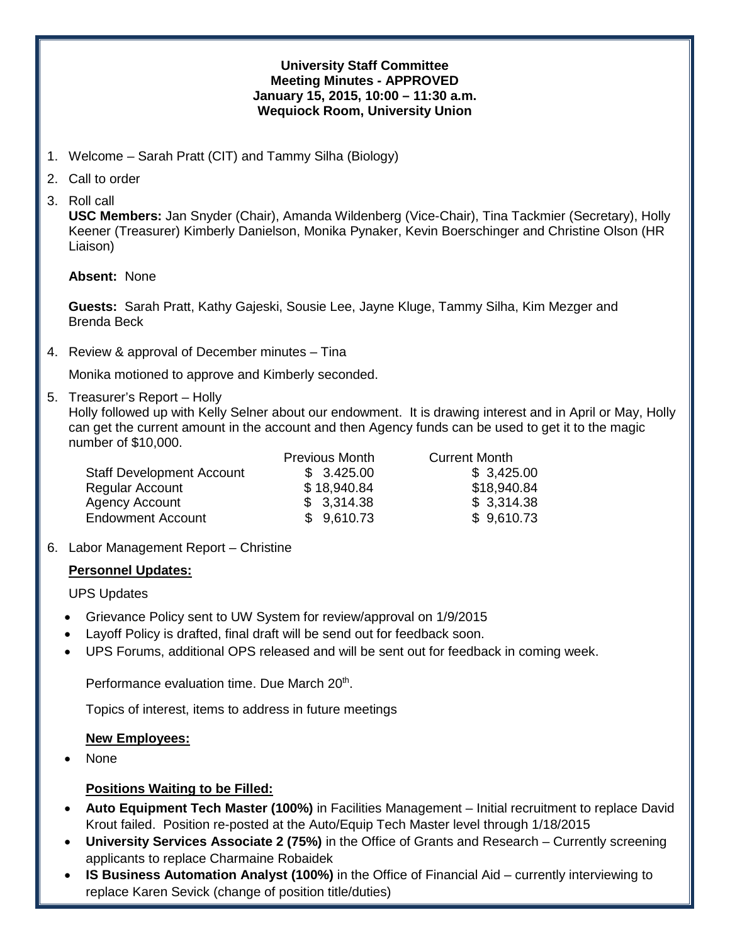#### **University Staff Committee Meeting Minutes - APPROVED January 15, 2015, 10:00 – 11:30 a.m. Wequiock Room, University Union**

- 1. Welcome Sarah Pratt (CIT) and Tammy Silha (Biology)
- 2. Call to order
- 3. Roll call

**USC Members:** Jan Snyder (Chair), Amanda Wildenberg (Vice-Chair), Tina Tackmier (Secretary), Holly Keener (Treasurer) Kimberly Danielson, Monika Pynaker, Kevin Boerschinger and Christine Olson (HR Liaison)

#### **Absent:** None

 **Guests:** Sarah Pratt, Kathy Gajeski, Sousie Lee, Jayne Kluge, Tammy Silha, Kim Mezger and Brenda Beck

4. Review & approval of December minutes – Tina

Monika motioned to approve and Kimberly seconded.

5. Treasurer's Report – Holly

Holly followed up with Kelly Selner about our endowment. It is drawing interest and in April or May, Holly can get the current amount in the account and then Agency funds can be used to get it to the magic number of \$10,000.

|                                  | <b>Previous Month</b> | <b>Current Month</b> |
|----------------------------------|-----------------------|----------------------|
| <b>Staff Development Account</b> | \$3.425.00            | \$3,425.00           |
| <b>Regular Account</b>           | \$18,940.84           | \$18,940.84          |
| <b>Agency Account</b>            | \$3,314.38            | \$3,314.38           |
| <b>Endowment Account</b>         | \$9,610.73            | \$9,610.73           |
|                                  |                       |                      |

6. Labor Management Report – Christine

# **Personnel Updates:**

UPS Updates

- Grievance Policy sent to UW System for review/approval on 1/9/2015
- Layoff Policy is drafted, final draft will be send out for feedback soon.
- UPS Forums, additional OPS released and will be sent out for feedback in coming week.

Performance evaluation time. Due March 20<sup>th</sup>.

Topics of interest, items to address in future meetings

# **New Employees:**

• None

# **Positions Waiting to be Filled:**

- **Auto Equipment Tech Master (100%)** in Facilities Management Initial recruitment to replace David Krout failed. Position re-posted at the Auto/Equip Tech Master level through 1/18/2015
- **University Services Associate 2 (75%)** in the Office of Grants and Research Currently screening applicants to replace Charmaine Robaidek
- **IS Business Automation Analyst (100%)** in the Office of Financial Aid currently interviewing to replace Karen Sevick (change of position title/duties)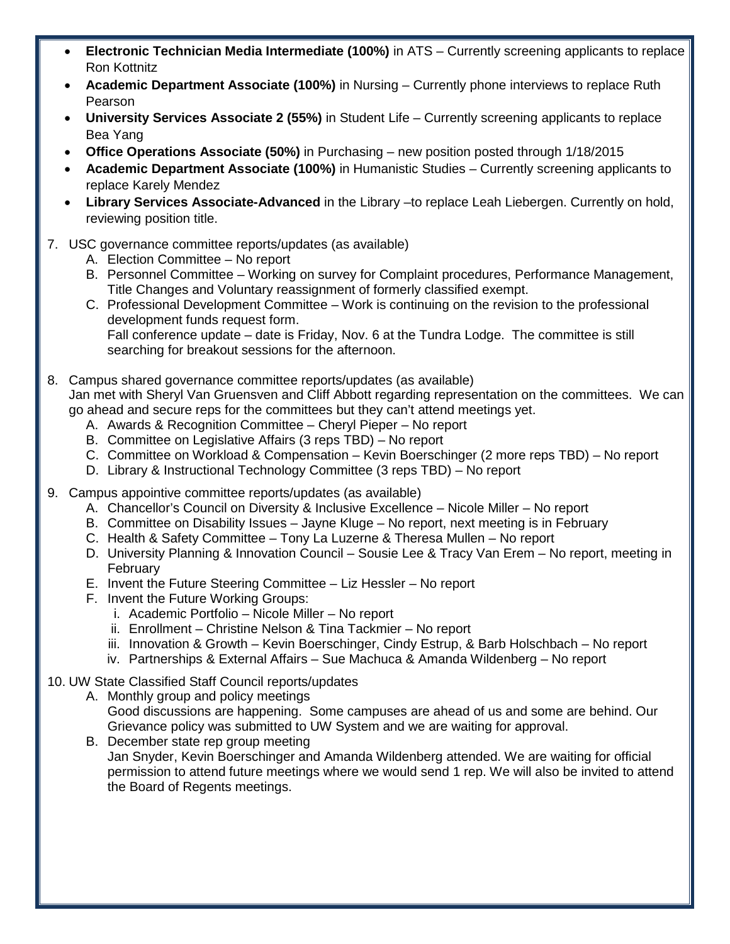- **Electronic Technician Media Intermediate (100%)** in ATS Currently screening applicants to replace Ron Kottnitz
- **Academic Department Associate (100%)** in Nursing Currently phone interviews to replace Ruth Pearson
- **University Services Associate 2 (55%)** in Student Life Currently screening applicants to replace Bea Yang
- **Office Operations Associate (50%)** in Purchasing new position posted through 1/18/2015
- **Academic Department Associate (100%)** in Humanistic Studies Currently screening applicants to replace Karely Mendez
- **Library Services Associate-Advanced** in the Library –to replace Leah Liebergen. Currently on hold, reviewing position title.
- 7. USC governance committee reports/updates (as available)
	- A. Election Committee No report
	- B. Personnel Committee Working on survey for Complaint procedures, Performance Management, Title Changes and Voluntary reassignment of formerly classified exempt.
	- C. Professional Development Committee Work is continuing on the revision to the professional development funds request form.

Fall conference update – date is Friday, Nov. 6 at the Tundra Lodge. The committee is still searching for breakout sessions for the afternoon.

- 8. Campus shared governance committee reports/updates (as available) Jan met with Sheryl Van Gruensven and Cliff Abbott regarding representation on the committees. We can go ahead and secure reps for the committees but they can't attend meetings yet.
	- A. Awards & Recognition Committee Cheryl Pieper No report
	- B. Committee on Legislative Affairs (3 reps TBD) No report
	- C. Committee on Workload & Compensation Kevin Boerschinger (2 more reps TBD) No report
	- D. Library & Instructional Technology Committee (3 reps TBD) No report
- 9. Campus appointive committee reports/updates (as available)
	- A. Chancellor's Council on Diversity & Inclusive Excellence Nicole Miller No report
	- B. Committee on Disability Issues Jayne Kluge No report, next meeting is in February
	- C. Health & Safety Committee Tony La Luzerne & Theresa Mullen No report
	- D. University Planning & Innovation Council Sousie Lee & Tracy Van Erem No report, meeting in February
	- E. Invent the Future Steering Committee Liz Hessler No report
	- F. Invent the Future Working Groups:
		- i. Academic Portfolio Nicole Miller No report
		- ii. Enrollment Christine Nelson & Tina Tackmier No report
		- iii. Innovation & Growth Kevin Boerschinger, Cindy Estrup, & Barb Holschbach No report
		- iv. Partnerships & External Affairs Sue Machuca & Amanda Wildenberg No report
- 10. UW State Classified Staff Council reports/updates
	- A. Monthly group and policy meetings Good discussions are happening. Some campuses are ahead of us and some are behind. Our Grievance policy was submitted to UW System and we are waiting for approval.
	- B. December state rep group meeting Jan Snyder, Kevin Boerschinger and Amanda Wildenberg attended. We are waiting for official permission to attend future meetings where we would send 1 rep. We will also be invited to attend the Board of Regents meetings.